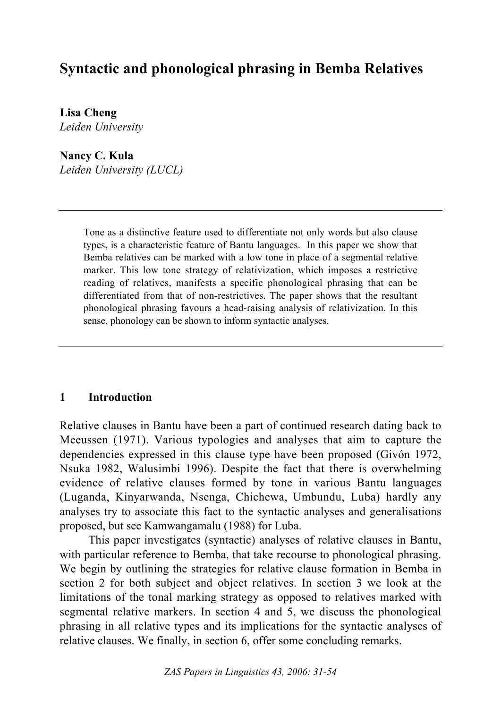# **Syntactic and phonological phrasing in Bemba Relatives**

**Lisa Cheng** *Leiden University*

**Nancy C. Kula** *Leiden University (LUCL)*

> Tone as a distinctive feature used to differentiate not only words but also clause types, is a characteristic feature of Bantu languages. In this paper we show that Bemba relatives can be marked with a low tone in place of a segmental relative marker. This low tone strategy of relativization, which imposes a restrictive reading of relatives, manifests a specific phonological phrasing that can be differentiated from that of non-restrictives. The paper shows that the resultant phonological phrasing favours a head-raising analysis of relativization. In this sense, phonology can be shown to inform syntactic analyses.

#### **1 Introduction**

Relative clauses in Bantu have been a part of continued research dating back to Meeussen (1971). Various typologies and analyses that aim to capture the dependencies expressed in this clause type have been proposed (Givón 1972, Nsuka 1982, Walusimbi 1996). Despite the fact that there is overwhelming evidence of relative clauses formed by tone in various Bantu languages (Luganda, Kinyarwanda, Nsenga, Chichewa, Umbundu, Luba) hardly any analyses try to associate this fact to the syntactic analyses and generalisations proposed, but see Kamwangamalu (1988) for Luba.

This paper investigates (syntactic) analyses of relative clauses in Bantu, with particular reference to Bemba, that take recourse to phonological phrasing. We begin by outlining the strategies for relative clause formation in Bemba in section 2 for both subject and object relatives. In section 3 we look at the limitations of the tonal marking strategy as opposed to relatives marked with segmental relative markers. In section 4 and 5, we discuss the phonological phrasing in all relative types and its implications for the syntactic analyses of relative clauses. We finally, in section 6, offer some concluding remarks.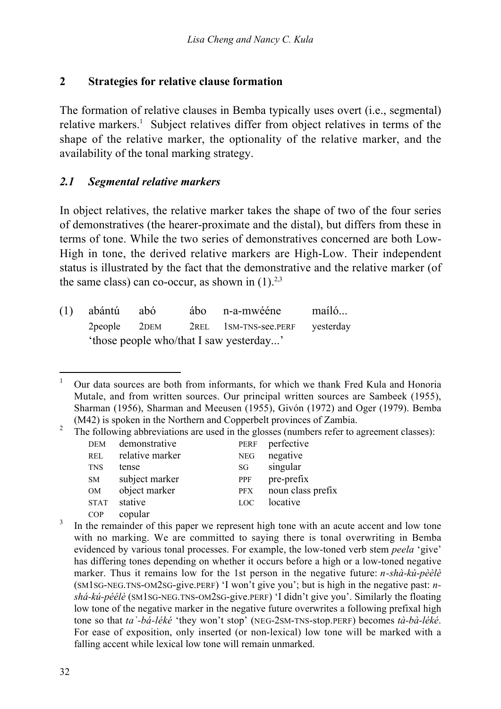#### **2 Strategies for relative clause formation**

The formation of relative clauses in Bemba typically uses overt (i.e., segmental) relative markers.<sup>1</sup> Subject relatives differ from object relatives in terms of the shape of the relative marker, the optionality of the relative marker, and the availability of the tonal marking strategy.

#### *2.1 Segmental relative markers*

In object relatives, the relative marker takes the shape of two of the four series of demonstratives (the hearer-proximate and the distal), but differs from these in terms of tone. While the two series of demonstratives concerned are both Low-High in tone, the derived relative markers are High-Low. Their independent status is illustrated by the fact that the demonstrative and the relative marker (of the same class) can co-occur, as shown in  $(1)^{2,3}$ 

|  | (1) abántú abó |  | ábo n-a-mwééne                                    | maíló |
|--|----------------|--|---------------------------------------------------|-------|
|  |                |  | 2 people 2 DEM 2 REL 1 SM-TNS-see. PERF yesterday |       |
|  |                |  |                                                   |       |

<sup>&</sup>lt;sup>1</sup> Our data sources are both from informants, for which we thank Fred Kula and Honoria Mutale, and from written sources. Our principal written sources are Sambeek (1955), Sharman (1956), Sharman and Meeusen (1955), Givón (1972) and Oger (1979). Bemba (M42) is spoken in the Northern and Copperbelt provinces of Zambia.

<sup>&</sup>lt;sup>2</sup> The following abbreviations are used in the glosses (numbers refer to agreement classes):

| negative<br>relative marker<br><b>NEG</b><br><b>REL</b><br>singular<br><b>TNS</b><br>tense<br>SG<br>pre-prefix<br>subject marker<br>PPF<br><b>SM</b><br>object marker<br>noun class prefix<br>OM<br><b>PFX</b><br>stative<br>locative<br><b>STAT</b><br><b>LOC</b><br>copular<br>COP |  |
|--------------------------------------------------------------------------------------------------------------------------------------------------------------------------------------------------------------------------------------------------------------------------------------|--|
|                                                                                                                                                                                                                                                                                      |  |
|                                                                                                                                                                                                                                                                                      |  |
|                                                                                                                                                                                                                                                                                      |  |
|                                                                                                                                                                                                                                                                                      |  |
|                                                                                                                                                                                                                                                                                      |  |
|                                                                                                                                                                                                                                                                                      |  |

In the remainder of this paper we represent high tone with an acute accent and low tone with no marking. We are committed to saying there is tonal overwriting in Bemba evidenced by various tonal processes. For example, the low-toned verb stem *peela* 'give' has differing tones depending on whether it occurs before a high or a low-toned negative marker. Thus it remains low for the 1st person in the negative future: *n-shà-kù-pèèlè* (SM1SG-NEG.TNS-OM2SG-give.PERF) 'I won't give you'; but is high in the negative past: *nshá-kú-péélè* (SM1SG-NEG.TNS-OM2SG-give.PERF) 'I didn't give you'. Similarly the floating low tone of the negative marker in the negative future overwrites a following prefixal high tone so that *ta`-bá-léké* 'they won't stop' (NEG-2SM-TNS-stop.PERF) becomes *tà-bà-léké*. For ease of exposition, only inserted (or non-lexical) low tone will be marked with a falling accent while lexical low tone will remain unmarked.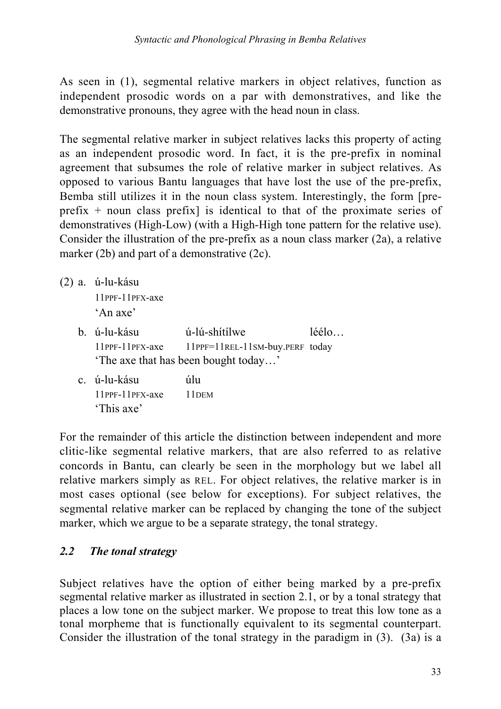As seen in (1), segmental relative markers in object relatives, function as independent prosodic words on a par with demonstratives, and like the demonstrative pronouns, they agree with the head noun in class.

The segmental relative marker in subject relatives lacks this property of acting as an independent prosodic word. In fact, it is the pre-prefix in nominal agreement that subsumes the role of relative marker in subject relatives. As opposed to various Bantu languages that have lost the use of the pre-prefix, Bemba still utilizes it in the noun class system. Interestingly, the form [preprefix  $+$  noun class prefix) is identical to that of the proximate series of demonstratives (High-Low) (with a High-High tone pattern for the relative use). Consider the illustration of the pre-prefix as a noun class marker (2a), a relative marker (2b) and part of a demonstrative (2c).

(2) a. ú-lu-kásu

11PPF-11PFX-axe 'An axe'

- b. ú-lu-kásu ú-lú-shítílwe léélo… 11PPF-11PFX-axe 11PPF=11REL-11SM-buy.PERF today 'The axe that has been bought today…'
- c. ú-lu-kásu úlu 11PPF-11PFX-axe 11DEM 'This axe'

For the remainder of this article the distinction between independent and more clitic-like segmental relative markers, that are also referred to as relative concords in Bantu, can clearly be seen in the morphology but we label all relative markers simply as REL. For object relatives, the relative marker is in most cases optional (see below for exceptions). For subject relatives, the segmental relative marker can be replaced by changing the tone of the subject marker, which we argue to be a separate strategy, the tonal strategy.

### *2.2 The tonal strategy*

Subject relatives have the option of either being marked by a pre-prefix segmental relative marker as illustrated in section 2.1, or by a tonal strategy that places a low tone on the subject marker. We propose to treat this low tone as a tonal morpheme that is functionally equivalent to its segmental counterpart. Consider the illustration of the tonal strategy in the paradigm in (3). (3a) is a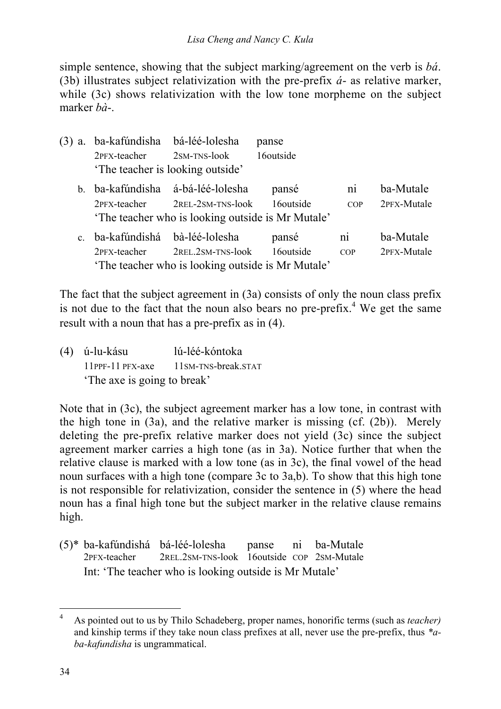#### *Lisa Cheng and Nancy C. Kula*

simple sentence, showing that the subject marking/agreement on the verb is *bá*. (3b) illustrates subject relativization with the pre-prefix *á*- as relative marker, while (3c) shows relativization with the low tone morpheme on the subject marker *bà*-.

| (3)<br>a.    | ba-kafúndisha | bá-léé-lolesha                                    | panse                 |                        |             |
|--------------|---------------|---------------------------------------------------|-----------------------|------------------------|-------------|
|              | 2PFX-teacher  | $2SM-TNS-look$                                    | 16 <sub>outside</sub> |                        |             |
|              |               | The teacher is looking outside'                   |                       |                        |             |
| $b_{-}$      | ba-kafúndisha | á-bá-léé-lolesha                                  | pansé                 | $\overline{\text{ni}}$ | ba-Mutale   |
|              | 2PFX-teacher  | 2REL-2SM-TNS-look                                 | 16 <sub>outside</sub> | COP                    | 2PFX-Mutale |
|              |               | The teacher who is looking outside is Mr Mutale'  |                       |                        |             |
| $\mathbf{c}$ | ba-kafúndishá | bà-léé-lolesha                                    | pansé                 | $\overline{ni}$        | ba-Mutale   |
|              | 2PFX-teacher  | 2REL.2SM-TNS-look                                 | 16 <sub>outside</sub> | COP                    | 2PFX-Mutale |
|              |               | 'The teacher who is looking outside is Mr Mutale' |                       |                        |             |

The fact that the subject agreement in (3a) consists of only the noun class prefix is not due to the fact that the noun also bears no pre-prefix.<sup>4</sup> We get the same result with a noun that has a pre-prefix as in (4).

(4) ú-lu-kásu lú-léé-kóntoka 11PPF-11 PFX-axe 11SM-TNS-break.STAT 'The axe is going to break'

Note that in (3c), the subject agreement marker has a low tone, in contrast with the high tone in (3a), and the relative marker is missing (cf. (2b)). Merely deleting the pre-prefix relative marker does not yield (3c) since the subject agreement marker carries a high tone (as in 3a). Notice further that when the relative clause is marked with a low tone (as in 3c), the final vowel of the head noun surfaces with a high tone (compare 3c to 3a,b). To show that this high tone is not responsible for relativization, consider the sentence in (5) where the head noun has a final high tone but the subject marker in the relative clause remains high.

(5)\* ba-kafúndishá bá-léé-lolesha panse ni ba-Mutale 2PFX-teacher 2REL.2SM-TNS-look 16outside COP 2SM-Mutale Int: 'The teacher who is looking outside is Mr Mutale'

 <sup>4</sup> As pointed out to us by Thilo Schadeberg, proper names, honorific terms (such as *teacher)* and kinship terms if they take noun class prefixes at all, never use the pre-prefix, thus *\*aba-kafundisha* is ungrammatical.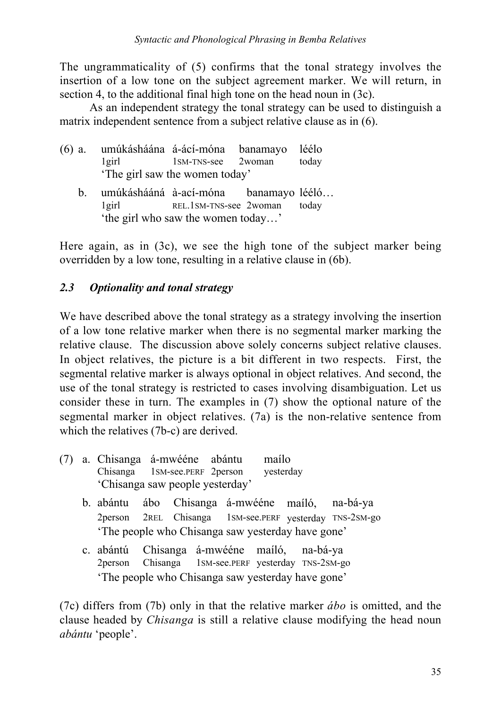The ungrammaticality of (5) confirms that the tonal strategy involves the insertion of a low tone on the subject agreement marker. We will return, in section 4, to the additional final high tone on the head noun in (3c).

As an independent strategy the tonal strategy can be used to distinguish a matrix independent sentence from a subject relative clause as in (6).

| $(6)$ a.<br>$1$ girl |          | umúkásháána á-ácí-móna banamayo<br>1SM-TNS-see 2woman<br>The girl saw the women today'                | léélo<br>today |
|----------------------|----------|-------------------------------------------------------------------------------------------------------|----------------|
| h                    | $1$ girl | umúkáshááná à-ací-móna banamayo lééló<br>REL.1SM-TNS-see 2woman<br>'the girl who saw the women today' | today          |

Here again, as in (3c), we see the high tone of the subject marker being overridden by a low tone, resulting in a relative clause in (6b).

### *2.3 Optionality and tonal strategy*

We have described above the tonal strategy as a strategy involving the insertion of a low tone relative marker when there is no segmental marker marking the relative clause. The discussion above solely concerns subject relative clauses. In object relatives, the picture is a bit different in two respects. First, the segmental relative marker is always optional in object relatives. And second, the use of the tonal strategy is restricted to cases involving disambiguation. Let us consider these in turn. The examples in (7) show the optional nature of the segmental marker in object relatives. (7a) is the non-relative sentence from which the relatives (7b-c) are derived.

|  | (7) a. Chisanga á-mwééne abántu<br>Chisanga 1SM-see.PERF 2person yesterday<br>'Chisanga saw people yesterday' |  | maílo |                                                                                                |                                                                                                            |
|--|---------------------------------------------------------------------------------------------------------------|--|-------|------------------------------------------------------------------------------------------------|------------------------------------------------------------------------------------------------------------|
|  |                                                                                                               |  |       | The people who Chisanga saw yesterday have gone'                                               | b. abántu ábo Chisanga á-mwééne maíló, na-bá-ya<br>2person 2REL Chisanga 1SM-see.PERF yesterday TNS-2SM-go |
|  | c. abántú Chisanga á-mwééne maíló, na-bá-ya<br>2 person                                                       |  |       | Chisanga 1SM-see.PERF yesterday TNS-2SM-go<br>The people who Chisanga saw yesterday have gone' |                                                                                                            |

(7c) differs from (7b) only in that the relative marker *ábo* is omitted, and the clause headed by *Chisanga* is still a relative clause modifying the head noun *abántu* 'people'.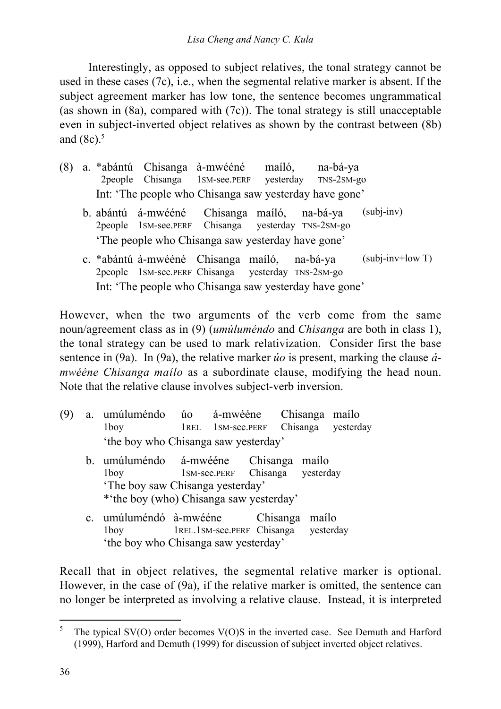Interestingly, as opposed to subject relatives, the tonal strategy cannot be used in these cases (7c), i.e., when the segmental relative marker is absent. If the subject agreement marker has low tone, the sentence becomes ungrammatical (as shown in  $(8a)$ , compared with  $(7c)$ ). The tonal strategy is still unacceptable even in subject-inverted object relatives as shown by the contrast between (8b) and  $(8c)$ .<sup>5</sup>

- (8) a. \*abántú Chisanga à-mwééné maíló, na-bá-ya 2people Chisanga 1SM-see.PERF yesterday TNS-2SM-go Int: 'The people who Chisanga saw yesterday have gone'
	- b. abántú á-mwééné Chisanga maíló, na-bá-ya (subj-inv) 2people 1SM-see.PERF Chisanga yesterday TNS-2SM-go 'The people who Chisanga saw yesterday have gone'
	- c. \*abántú à-mwééné Chisanga maíló, na-bá-ya 2people 1SM-see.PERF Chisanga yesterday TNS-2SM-go  $(subj-inv+low T)$ Int: 'The people who Chisanga saw yesterday have gone'

However, when the two arguments of the verb come from the same noun/agreement class as in (9) (*umúluméndo* and *Chisanga* are both in class 1), the tonal strategy can be used to mark relativization. Consider first the base sentence in (9a). In (9a), the relative marker *úo* is present, marking the clause *ámwééne Chisanga maílo* as a subordinate clause, modifying the head noun. Note that the relative clause involves subject-verb inversion.

| (9) |                | a. umúluméndo úo<br>1boy                                                                                               |                                      | á-mwééne<br>1REL 1SM-see.PERF   |  |          |       | Chisanga maílo<br>Chisanga yesterday |
|-----|----------------|------------------------------------------------------------------------------------------------------------------------|--------------------------------------|---------------------------------|--|----------|-------|--------------------------------------|
|     |                |                                                                                                                        | 'the boy who Chisanga saw yesterday' |                                 |  |          |       |                                      |
|     |                | b. umúluméndo á-mwééne Chisanga<br>1boy<br>'The boy saw Chisanga yesterday'<br>* the boy (who) Chisanga saw yesterday' |                                      | 1SM-see.PERF Chisanga yesterday |  |          | mailo |                                      |
|     | $\mathbf{c}$ . | umúluméndó à-mwééne<br>1boy<br>$\sim$ 1 $\sim$ 1 $\sim$ 1 $\sim$                                                       | 1REL.1SM-see.PERF Chisanga vesterday |                                 |  | Chisanga | mailo |                                      |

'the boy who Chisanga saw yesterday'

Recall that in object relatives, the segmental relative marker is optional. However, in the case of (9a), if the relative marker is omitted, the sentence can no longer be interpreted as involving a relative clause. Instead, it is interpreted

<sup>&</sup>lt;sup>5</sup> The typical SV(O) order becomes V(O)S in the inverted case. See Demuth and Harford (1999), Harford and Demuth (1999) for discussion of subject inverted object relatives.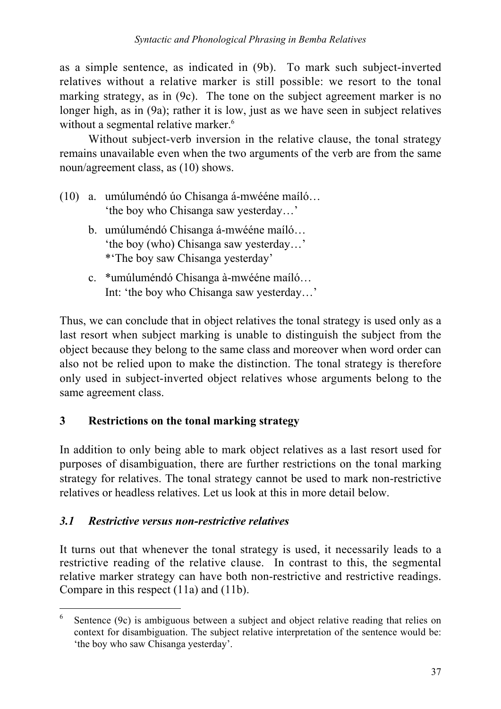as a simple sentence, as indicated in (9b). To mark such subject-inverted relatives without a relative marker is still possible: we resort to the tonal marking strategy, as in (9c). The tone on the subject agreement marker is no longer high, as in (9a); rather it is low, just as we have seen in subject relatives without a segmental relative marker.<sup>6</sup>

Without subject-verb inversion in the relative clause, the tonal strategy remains unavailable even when the two arguments of the verb are from the same noun/agreement class, as (10) shows.

- (10) a. umúluméndó úo Chisanga á-mwééne maíló… 'the boy who Chisanga saw yesterday…'
	- b. umúluméndó Chisanga á-mwééne maíló… 'the boy (who) Chisanga saw yesterday…' \*'The boy saw Chisanga yesterday'
	- c. \*umúluméndó Chisanga à-mwééne maíló… Int: 'the boy who Chisanga saw yesterday…'

Thus, we can conclude that in object relatives the tonal strategy is used only as a last resort when subject marking is unable to distinguish the subject from the object because they belong to the same class and moreover when word order can also not be relied upon to make the distinction. The tonal strategy is therefore only used in subject-inverted object relatives whose arguments belong to the same agreement class.

## **3 Restrictions on the tonal marking strategy**

In addition to only being able to mark object relatives as a last resort used for purposes of disambiguation, there are further restrictions on the tonal marking strategy for relatives. The tonal strategy cannot be used to mark non-restrictive relatives or headless relatives. Let us look at this in more detail below.

## *3.1 Restrictive versus non-restrictive relatives*

It turns out that whenever the tonal strategy is used, it necessarily leads to a restrictive reading of the relative clause. In contrast to this, the segmental relative marker strategy can have both non-restrictive and restrictive readings. Compare in this respect (11a) and (11b).

Sentence (9c) is ambiguous between a subject and object relative reading that relies on context for disambiguation. The subject relative interpretation of the sentence would be: 'the boy who saw Chisanga yesterday'.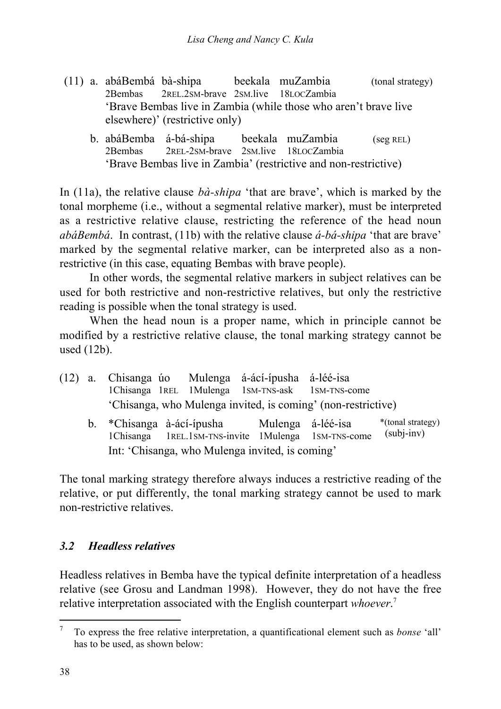- (11) a. abáBembá bà-shipa beekala muZambia (tonal strategy) 2Bembas 2REL.2SM-brave 2SM.live 18LOCZambia 'Brave Bembas live in Zambia (while those who aren't brave live elsewhere)' (restrictive only)
	- b. abáBemba á-bá-shipa beekala muZambia (seg REL) 2Bembas 2REL-2SM-brave 2SM.live 18LOCZambia 'Brave Bembas live in Zambia' (restrictive and non-restrictive)

In (11a), the relative clause *bà-shipa* 'that are brave', which is marked by the tonal morpheme (i.e., without a segmental relative marker), must be interpreted as a restrictive relative clause, restricting the reference of the head noun *abáBembá*. In contrast, (11b) with the relative clause *á-bá-shipa* 'that are brave' marked by the segmental relative marker, can be interpreted also as a nonrestrictive (in this case, equating Bembas with brave people).

In other words, the segmental relative markers in subject relatives can be used for both restrictive and non-restrictive relatives, but only the restrictive reading is possible when the tonal strategy is used.

When the head noun is a proper name, which in principle cannot be modified by a restrictive relative clause, the tonal marking strategy cannot be used (12b).

- (12) a. Chisanga úo Mulenga á-ácí-ípusha á-léé-isa 1Chisanga 1REL 1Mulenga 1SM-TNS-ask 1SM-TNS-come 'Chisanga, who Mulenga invited, is coming' (non-restrictive)
	- b. \*Chisanga à-ácí-ípusha Mulenga á-léé-isa 1Chisanga 1REL.1SM-TNS-invite 1Mulenga 1SM-TNS-come \*(tonal strategy) (subj-inv) Int: 'Chisanga, who Mulenga invited, is coming'

The tonal marking strategy therefore always induces a restrictive reading of the relative, or put differently, the tonal marking strategy cannot be used to mark non-restrictive relatives.

### *3.2 Headless relatives*

Headless relatives in Bemba have the typical definite interpretation of a headless relative (see Grosu and Landman 1998). However, they do not have the free relative interpretation associated with the English counterpart *whoever*. 7

 <sup>7</sup> To express the free relative interpretation, a quantificational element such as *bonse* 'all' has to be used, as shown below: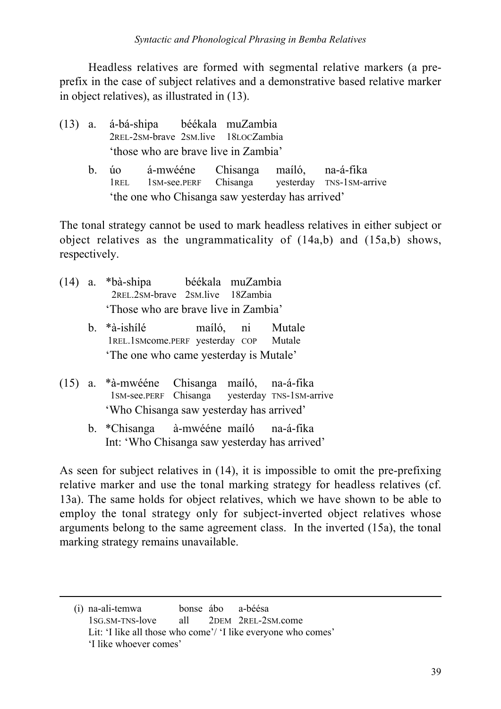Headless relatives are formed with segmental relative markers (a preprefix in the case of subject relatives and a demonstrative based relative marker in object relatives), as illustrated in (13).

- (13) a. á-bá-shipa béékala muZambia 2REL-2SM-brave 2SM.live 18LOCZambia 'those who are brave live in Zambia'
	- b. úo á-mwééne Chisanga maíló, na-á-fika 1REL 1SM-see.PERF Chisanga yesterday TNS-1SM-arrive 'the one who Chisanga saw yesterday has arrived'

The tonal strategy cannot be used to mark headless relatives in either subject or object relatives as the ungrammaticality of (14a,b) and (15a,b) shows, respectively.

- (14) a. \*bà-shipa béékala muZambia 2REL.2SM-brave 2SM.live 18Zambia 'Those who are brave live in Zambia'
	- b. \*à-ishílé maíló, ni Mutale 1REL.1SMcome.PERF yesterday COP Mutale 'The one who came yesterday is Mutale'
- (15) a. \*à-mwééne Chisanga maíló, na-á-fika 1SM-see.PERF Chisanga yesterday TNS-1SM-arrive 'Who Chisanga saw yesterday has arrived'
	- b. \*Chisanga à-mwééne maíló na-á-fika Int: 'Who Chisanga saw yesterday has arrived'

As seen for subject relatives in (14), it is impossible to omit the pre-prefixing relative marker and use the tonal marking strategy for headless relatives (cf. 13a). The same holds for object relatives, which we have shown to be able to employ the tonal strategy only for subject-inverted object relatives whose arguments belong to the same agreement class. In the inverted (15a), the tonal marking strategy remains unavailable.

 $\overline{a}$ 

<sup>(</sup>i) na-ali-temwa bonse ábo a-béésa 1SG.SM-TNS-love all 2DEM 2REL-2SM.come Lit: 'I like all those who come'/ 'I like everyone who comes' 'I like whoever comes'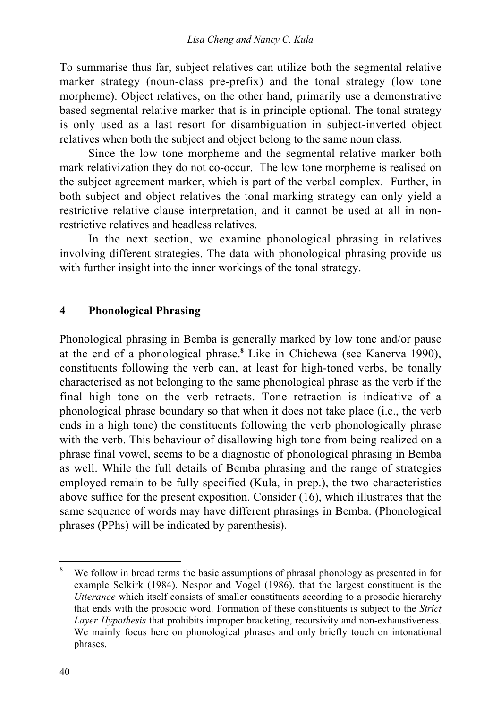To summarise thus far, subject relatives can utilize both the segmental relative marker strategy (noun-class pre-prefix) and the tonal strategy (low tone morpheme). Object relatives, on the other hand, primarily use a demonstrative based segmental relative marker that is in principle optional. The tonal strategy is only used as a last resort for disambiguation in subject-inverted object relatives when both the subject and object belong to the same noun class.

Since the low tone morpheme and the segmental relative marker both mark relativization they do not co-occur. The low tone morpheme is realised on the subject agreement marker, which is part of the verbal complex. Further, in both subject and object relatives the tonal marking strategy can only yield a restrictive relative clause interpretation, and it cannot be used at all in nonrestrictive relatives and headless relatives.

In the next section, we examine phonological phrasing in relatives involving different strategies. The data with phonological phrasing provide us with further insight into the inner workings of the tonal strategy.

### **4 Phonological Phrasing**

Phonological phrasing in Bemba is generally marked by low tone and/or pause at the end of a phonological phrase.**<sup>8</sup>** Like in Chichewa (see Kanerva 1990), constituents following the verb can, at least for high-toned verbs, be tonally characterised as not belonging to the same phonological phrase as the verb if the final high tone on the verb retracts. Tone retraction is indicative of a phonological phrase boundary so that when it does not take place (i.e., the verb ends in a high tone) the constituents following the verb phonologically phrase with the verb. This behaviour of disallowing high tone from being realized on a phrase final vowel, seems to be a diagnostic of phonological phrasing in Bemba as well. While the full details of Bemba phrasing and the range of strategies employed remain to be fully specified (Kula, in prep.), the two characteristics above suffice for the present exposition. Consider (16), which illustrates that the same sequence of words may have different phrasings in Bemba. (Phonological phrases (PPhs) will be indicated by parenthesis).

<sup>&</sup>lt;sup>8</sup> We follow in broad terms the basic assumptions of phrasal phonology as presented in for example Selkirk (1984), Nespor and Vogel (1986), that the largest constituent is the *Utterance* which itself consists of smaller constituents according to a prosodic hierarchy that ends with the prosodic word. Formation of these constituents is subject to the *Strict Layer Hypothesis* that prohibits improper bracketing, recursivity and non-exhaustiveness. We mainly focus here on phonological phrases and only briefly touch on intonational phrases.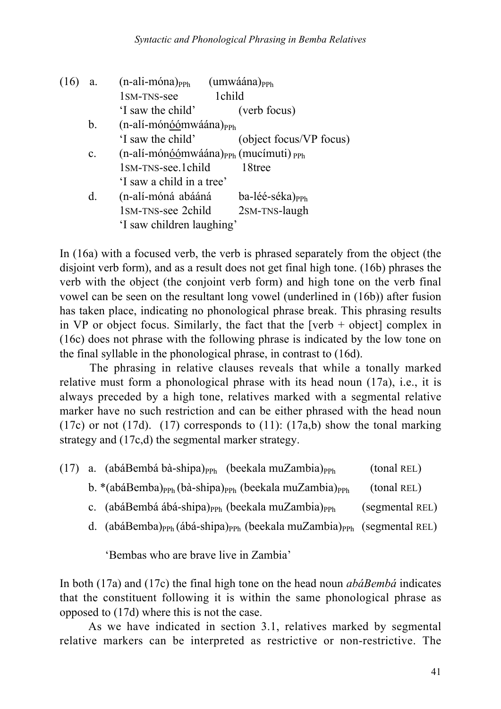| (16 | a.             | $(n$ -ali-móna) $_{PPh}$        | $(umwáána)_{PPh}$                       |
|-----|----------------|---------------------------------|-----------------------------------------|
|     |                | 1 <sub>SM</sub> -TNS-see        | 1child                                  |
|     |                | 'I saw the child'               | (verb focus)                            |
|     | $\mathbf{b}$ . | $(n-ali-mónóómwáána)PPh$        |                                         |
|     |                | 'I saw the child'               | (object focus/VP focus)                 |
|     | $\mathbf{c}$ . |                                 | $(n-ali-mónóómwáána)PPh (mucímuti) PPh$ |
|     |                | 1 <sub>SM</sub> -TNS-see.1child | 18tree                                  |
|     |                | 'I saw a child in a tree'       |                                         |
|     | d.             | (n-alí-móná abááná              | ba-léé-séka) <sub>PPh</sub>             |
|     |                | 1SM-TNS-see 2child              | 2SM-TNS-laugh                           |
|     |                | 'I saw children laughing'       |                                         |

In (16a) with a focused verb, the verb is phrased separately from the object (the disjoint verb form), and as a result does not get final high tone. (16b) phrases the verb with the object (the conjoint verb form) and high tone on the verb final vowel can be seen on the resultant long vowel (underlined in (16b)) after fusion has taken place, indicating no phonological phrase break. This phrasing results in VP or object focus. Similarly, the fact that the  $[verb + object]$  complex in (16c) does not phrase with the following phrase is indicated by the low tone on the final syllable in the phonological phrase, in contrast to (16d).

The phrasing in relative clauses reveals that while a tonally marked relative must form a phonological phrase with its head noun (17a), i.e., it is always preceded by a high tone, relatives marked with a segmental relative marker have no such restriction and can be either phrased with the head noun (17c) or not (17d). (17) corresponds to (11): (17a,b) show the tonal marking strategy and (17c,d) the segmental marker strategy.

|  | (17) a. (abáBembá bà-shipa) <sub>PPh</sub> (beekala muZambia) <sub>PPh</sub>                              | (tonal REL)     |
|--|-----------------------------------------------------------------------------------------------------------|-----------------|
|  | b. *(abáBemba) <sub>PPh</sub> (bà-shipa) <sub>PPh</sub> (beekala muZambia) <sub>PPh</sub>                 | (tonal REL)     |
|  | c. (abáBembá ábá-shipa) <sub>PPh</sub> (beekala muZambia) <sub>PPh</sub>                                  | (segmental REL) |
|  | d. (abáBemba) <sub>PPh</sub> (ábá-shipa) <sub>PPh</sub> (beekala muZambia) <sub>PPh</sub> (segmental REL) |                 |
|  | 'Bembas who are brave live in Zambia'                                                                     |                 |

In both (17a) and (17c) the final high tone on the head noun *abáBembá* indicates that the constituent following it is within the same phonological phrase as opposed to (17d) where this is not the case.

As we have indicated in section 3.1, relatives marked by segmental relative markers can be interpreted as restrictive or non-restrictive. The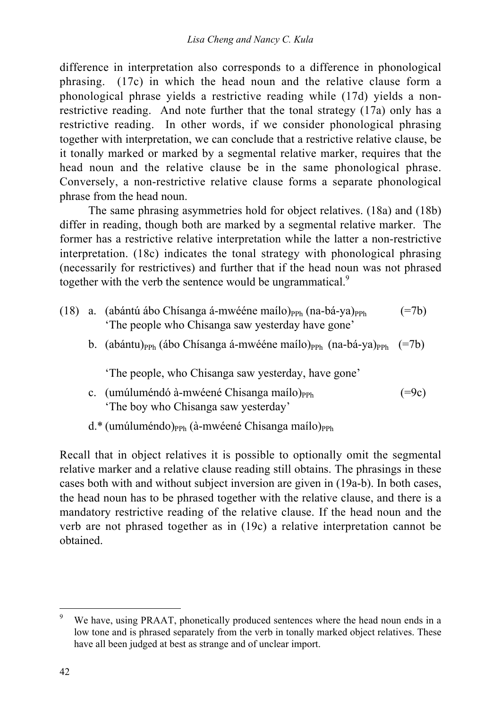difference in interpretation also corresponds to a difference in phonological phrasing. (17c) in which the head noun and the relative clause form a phonological phrase yields a restrictive reading while (17d) yields a nonrestrictive reading. And note further that the tonal strategy (17a) only has a restrictive reading. In other words, if we consider phonological phrasing together with interpretation, we can conclude that a restrictive relative clause, be it tonally marked or marked by a segmental relative marker, requires that the head noun and the relative clause be in the same phonological phrase. Conversely, a non-restrictive relative clause forms a separate phonological phrase from the head noun.

The same phrasing asymmetries hold for object relatives. (18a) and (18b) differ in reading, though both are marked by a segmental relative marker. The former has a restrictive relative interpretation while the latter a non-restrictive interpretation. (18c) indicates the tonal strategy with phonological phrasing (necessarily for restrictives) and further that if the head noun was not phrased together with the verb the sentence would be ungrammatical.<sup>9</sup>

- (18) a. (abántú ábo Chisanga á-mwééne maílo)<sub>PPh</sub> (na-bá-ya)<sub>PPh</sub> (=7b) 'The people who Chisanga saw yesterday have gone'
	- b. (abántu)<sub>PPh</sub> (ábo Chísanga á-mwééne maílo)<sub>PPh</sub> (na-bá-ya)<sub>PPh</sub> (=7b)

'The people, who Chisanga saw yesterday, have gone'

- c. (umúluméndó à-mwéené Chisanga maílo)<sub>PPh</sub> (=9c) 'The boy who Chisanga saw yesterday'
- $d.*$  (umúluméndo)<sub>PPh</sub> (à-mwéené Chisanga maílo)<sub>PPh</sub>

Recall that in object relatives it is possible to optionally omit the segmental relative marker and a relative clause reading still obtains. The phrasings in these cases both with and without subject inversion are given in (19a-b). In both cases, the head noun has to be phrased together with the relative clause, and there is a mandatory restrictive reading of the relative clause. If the head noun and the verb are not phrased together as in (19c) a relative interpretation cannot be obtained.

We have, using PRAAT, phonetically produced sentences where the head noun ends in a low tone and is phrased separately from the verb in tonally marked object relatives. These have all been judged at best as strange and of unclear import.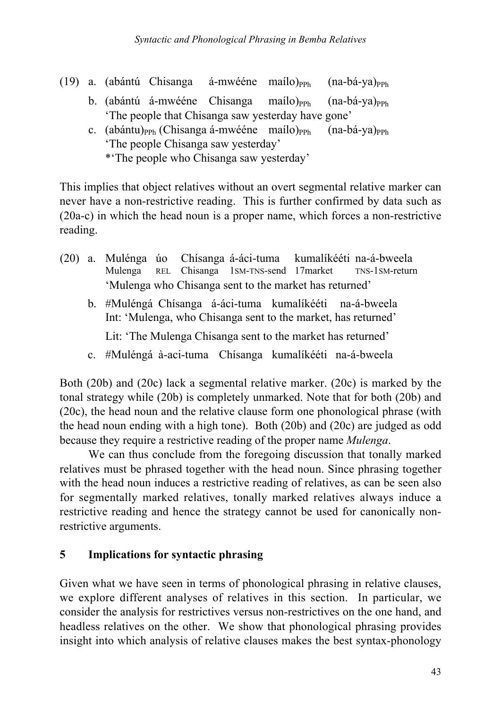- (19) a. (abántú Chisanga á-mwééne maílo)<sub>PPh</sub> (na-bá-ya)<sub>PPh</sub>
	- b. (abántú á-mwééne Chisanga maílo) $_{PPh}$  (na-bá-ya) $_{PPh}$ 'The people that Chisanga saw yesterday have gone'
	- c. (abántu)<sub>PPh</sub> (Chisanga á-mwééne maílo)<sub>PPh</sub> (na-bá-ya)<sub>PPh</sub> 'The people Chisanga saw yesterday' \*'The people who Chisanga saw yesterday'

This implies that object relatives without an overt segmental relative marker can never have a non-restrictive reading. This is further confirmed by data such as (20a-c) in which the head noun is a proper name, which forces a non-restrictive reading.

- (20) a. Mulénga úo Chísanga á-áci-tuma kumalíkééti na-á-bweela Mulenga REL Chisanga 1SM-TNS-send 17market TNS-1SM-return 'Mulenga who Chisanga sent to the market has returned'
	- b. #Muléngá Chísanga á-áci-tuma kumalíkééti na-á-bweela Int: 'Mulenga, who Chisanga sent to the market, has returned'

Lit: 'The Mulenga Chisanga sent to the market has returned'

c. #Muléngá à-aci-tuma Chísanga kumalíkééti na-á-bweela

Both (20b) and (20c) lack a segmental relative marker. (20c) is marked by the tonal strategy while (20b) is completely unmarked. Note that for both (20b) and (20c), the head noun and the relative clause form one phonological phrase (with the head noun ending with a high tone). Both (20b) and (20c) are judged as odd because they require a restrictive reading of the proper name *Mulenga*.

We can thus conclude from the foregoing discussion that tonally marked relatives must be phrased together with the head noun. Since phrasing together with the head noun induces a restrictive reading of relatives, as can be seen also for segmentally marked relatives, tonally marked relatives always induce a restrictive reading and hence the strategy cannot be used for canonically nonrestrictive arguments.

### **5 Implications for syntactic phrasing**

Given what we have seen in terms of phonological phrasing in relative clauses, we explore different analyses of relatives in this section. In particular, we consider the analysis for restrictives versus non-restrictives on the one hand, and headless relatives on the other. We show that phonological phrasing provides insight into which analysis of relative clauses makes the best syntax-phonology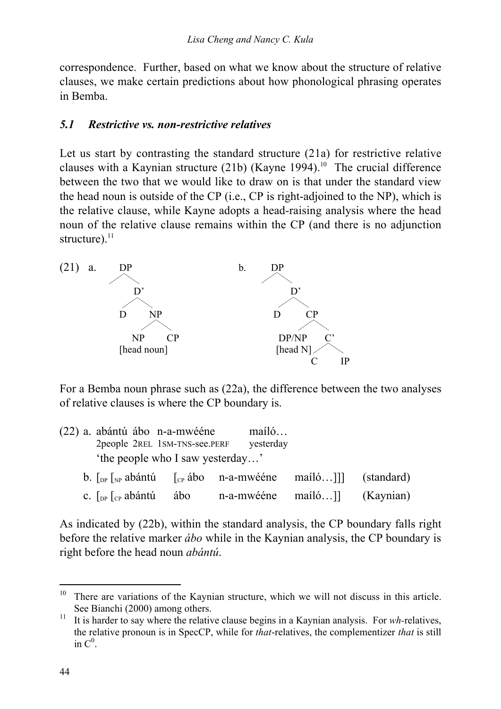correspondence. Further, based on what we know about the structure of relative clauses, we make certain predictions about how phonological phrasing operates in Bemba.

#### *5.1 Restrictive vs. non-restrictive relatives*

Let us start by contrasting the standard structure (21a) for restrictive relative clauses with a Kaynian structure  $(21b)$  (Kayne 1994).<sup>10</sup> The crucial difference between the two that we would like to draw on is that under the standard view the head noun is outside of the CP (i.e., CP is right-adjoined to the NP), which is the relative clause, while Kayne adopts a head-raising analysis where the head noun of the relative clause remains within the CP (and there is no adjunction structure). $^{11}$ 



For a Bemba noun phrase such as (22a), the difference between the two analyses of relative clauses is where the CP boundary is.

|                                  | (22) a. abántú ábo n-a-mwééne<br>2people 2REL 1SM-TNS-see.PERF                                                            |     | mailo<br>yesterday           |  |  |  |  |
|----------------------------------|---------------------------------------------------------------------------------------------------------------------------|-----|------------------------------|--|--|--|--|
| 'the people who I saw yesterday' |                                                                                                                           |     |                              |  |  |  |  |
|                                  | b. $\lceil \int_{\mathbb{R}^p} \int_{\mathbb{R}^p}$ abántú $\lceil \int_{\mathbb{C}^p}$ ábo n-a-mwééne mailó]] (standard) |     |                              |  |  |  |  |
|                                  | c. $\int_{DP} \int_{CP}$ abántú                                                                                           | ábo | n-a-mwééne maíló]] (Kaynian) |  |  |  |  |

As indicated by (22b), within the standard analysis, the CP boundary falls right before the relative marker *ábo* while in the Kaynian analysis, the CP boundary is right before the head noun *abántú*.

 $10$  There are variations of the Kaynian structure, which we will not discuss in this article. See Bianchi (2000) among others.

<sup>&</sup>lt;sup>11</sup> It is harder to say where the relative clause begins in a Kaynian analysis. For *wh*-relatives, the relative pronoun is in SpecCP, while for *that*-relatives, the complementizer *that* is still in  $C^0$ .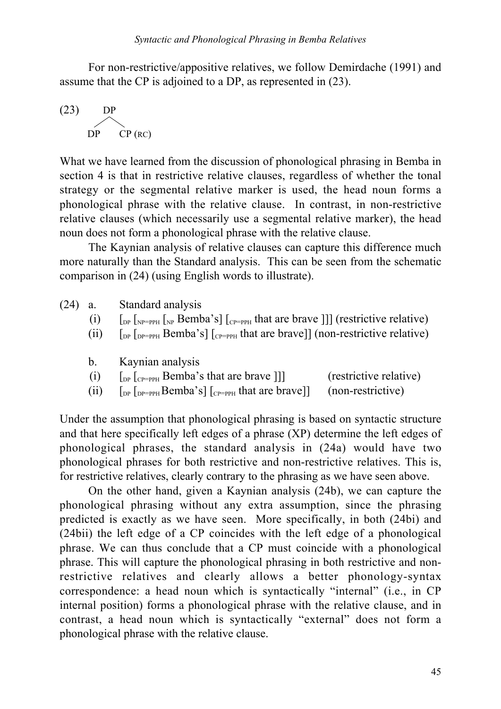For non-restrictive/appositive relatives, we follow Demirdache (1991) and assume that the CP is adjoined to a DP, as represented in (23).

$$
(23) \tDPDPCP (RC)
$$

What we have learned from the discussion of phonological phrasing in Bemba in section 4 is that in restrictive relative clauses, regardless of whether the tonal strategy or the segmental relative marker is used, the head noun forms a phonological phrase with the relative clause. In contrast, in non-restrictive relative clauses (which necessarily use a segmental relative marker), the head noun does not form a phonological phrase with the relative clause.

The Kaynian analysis of relative clauses can capture this difference much more naturally than the Standard analysis. This can be seen from the schematic comparison in (24) (using English words to illustrate).

- (24) a. Standard analysis
	- (i)  $\left[\begin{array}{cc}p_{\text{DP}} & p_{\text{PP}} \end{array}\right]$  [ $\left[\begin{array}{cc}p_{\text{PP}} & p_{\text{PP}} \end{array}\right]$  [ $\left[\begin{array}{cc}p_{\text{PP}} & p_{\text{PP}} \end{array}\right]$  [ $\left[\begin{array}{cc}p_{\text{PP}} & p_{\text{PP}} \end{array}\right]$ ] (restrictive relative)
	- (ii)  $\int_{DP} \int_{DP=PPH} Bemba's \int_{CP=PPH} that are brave] (non-restrictive relative)$
	- b. Kaynian analysis

| (i)<br>$\left[$ <sub>DP</sub> $\left[$ <sub>CP=PPH</sub> Bemba's that are brave $\left[$ ] | (restrictive relative) |
|--------------------------------------------------------------------------------------------|------------------------|
|--------------------------------------------------------------------------------------------|------------------------|

(ii)  $\left[\begin{array}{cc}p_{\text{DP}} & p_{\text{PP}} \end{array}\right]$  [ $\left[\begin{array}{cc}p_{\text{PP}} & p_{\text{PH}} \end{array}\right]$  (non-restrictive)

Under the assumption that phonological phrasing is based on syntactic structure and that here specifically left edges of a phrase (XP) determine the left edges of phonological phrases, the standard analysis in (24a) would have two phonological phrases for both restrictive and non-restrictive relatives. This is, for restrictive relatives, clearly contrary to the phrasing as we have seen above.

On the other hand, given a Kaynian analysis (24b), we can capture the phonological phrasing without any extra assumption, since the phrasing predicted is exactly as we have seen. More specifically, in both (24bi) and (24bii) the left edge of a CP coincides with the left edge of a phonological phrase. We can thus conclude that a CP must coincide with a phonological phrase. This will capture the phonological phrasing in both restrictive and nonrestrictive relatives and clearly allows a better phonology-syntax correspondence: a head noun which is syntactically "internal" (i.e., in CP internal position) forms a phonological phrase with the relative clause, and in contrast, a head noun which is syntactically "external" does not form a phonological phrase with the relative clause.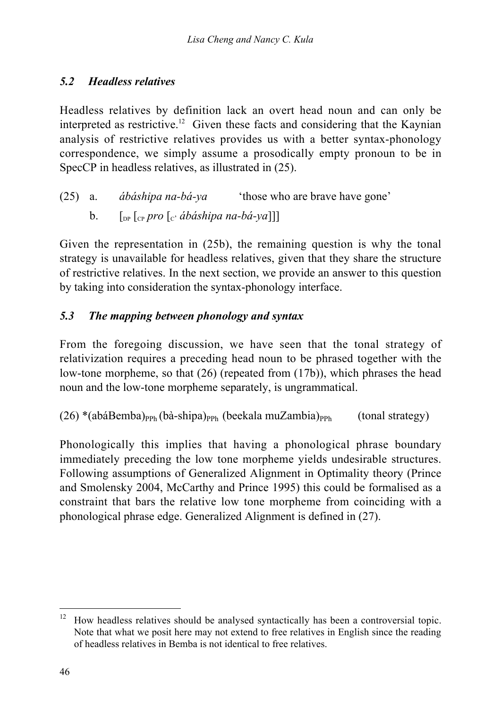### *5.2 Headless relatives*

Headless relatives by definition lack an overt head noun and can only be interpreted as restrictive.<sup>12</sup> Given these facts and considering that the Kaynian analysis of restrictive relatives provides us with a better syntax-phonology correspondence, we simply assume a prosodically empty pronoun to be in SpecCP in headless relatives, as illustrated in (25).

- (25) a. *ábáshipa na-bá-ya* 'those who are brave have gone'
	- b.  $\left[\begin{array}{cc} \n\sqrt{2} & \n\sqrt{2} \\
	\sqrt{2} & \n\sqrt{2} \\
	\sqrt{2} & \n\sqrt{2}\n\end{array}\right]$

Given the representation in (25b), the remaining question is why the tonal strategy is unavailable for headless relatives, given that they share the structure of restrictive relatives. In the next section, we provide an answer to this question by taking into consideration the syntax-phonology interface.

### *5.3 The mapping between phonology and syntax*

From the foregoing discussion, we have seen that the tonal strategy of relativization requires a preceding head noun to be phrased together with the low-tone morpheme, so that (26) (repeated from (17b)), which phrases the head noun and the low-tone morpheme separately, is ungrammatical.

 $(26)$  \*(abáBemba)<sub>PPh</sub> (bà-shipa)<sub>PPh</sub> (beekala muZambia)<sub>PPh</sub> (tonal strategy)

Phonologically this implies that having a phonological phrase boundary immediately preceding the low tone morpheme yields undesirable structures. Following assumptions of Generalized Alignment in Optimality theory (Prince and Smolensky 2004, McCarthy and Prince 1995) this could be formalised as a constraint that bars the relative low tone morpheme from coinciding with a phonological phrase edge. Generalized Alignment is defined in (27).

 $12$  How headless relatives should be analysed syntactically has been a controversial topic. Note that what we posit here may not extend to free relatives in English since the reading of headless relatives in Bemba is not identical to free relatives.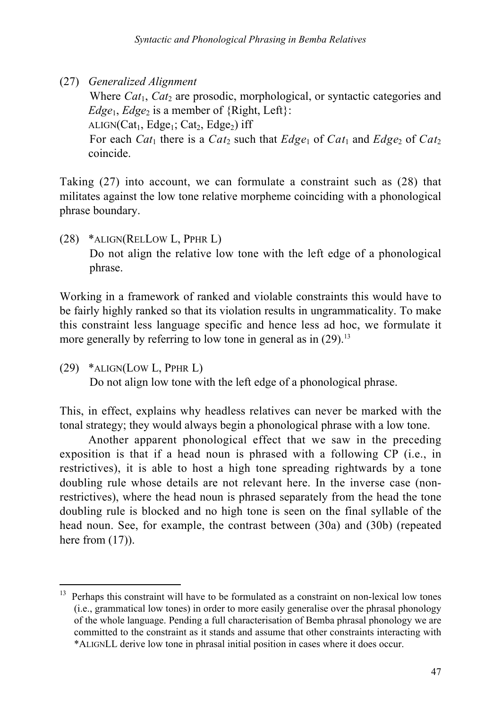(27) *Generalized Alignment*

Where *Cat*<sub>1</sub>, *Cat*<sub>2</sub> are prosodic, morphological, or syntactic categories and *Edge*<sub>1</sub>, *Edge*<sub>2</sub> is a member of  ${Right, Left}$ :

ALIGN( $Cat_1$ ,  $Edge_1$ ;  $Cat_2$ ,  $Edge_2$ ) iff

For each *Cat*<sub>1</sub> there is a *Cat*<sub>2</sub> such that  $Edge_1$  of  $Cat_1$  and  $Edge_2$  of  $Cat_2$ coincide.

Taking (27) into account, we can formulate a constraint such as (28) that militates against the low tone relative morpheme coinciding with a phonological phrase boundary.

(28) \*ALIGN(RELLOW L, PPHR L) Do not align the relative low tone with the left edge of a phonological phrase.

Working in a framework of ranked and violable constraints this would have to be fairly highly ranked so that its violation results in ungrammaticality. To make this constraint less language specific and hence less ad hoc, we formulate it more generally by referring to low tone in general as in  $(29)$ .<sup>13</sup>

(29) \*ALIGN(LOW L, PPHR L)

Do not align low tone with the left edge of a phonological phrase.

This, in effect, explains why headless relatives can never be marked with the tonal strategy; they would always begin a phonological phrase with a low tone.

Another apparent phonological effect that we saw in the preceding exposition is that if a head noun is phrased with a following CP (i.e., in restrictives), it is able to host a high tone spreading rightwards by a tone doubling rule whose details are not relevant here. In the inverse case (nonrestrictives), where the head noun is phrased separately from the head the tone doubling rule is blocked and no high tone is seen on the final syllable of the head noun. See, for example, the contrast between (30a) and (30b) (repeated here from  $(17)$ ).

<sup>&</sup>lt;sup>13</sup> Perhaps this constraint will have to be formulated as a constraint on non-lexical low tones (i.e., grammatical low tones) in order to more easily generalise over the phrasal phonology of the whole language. Pending a full characterisation of Bemba phrasal phonology we are committed to the constraint as it stands and assume that other constraints interacting with \*ALIGNLL derive low tone in phrasal initial position in cases where it does occur.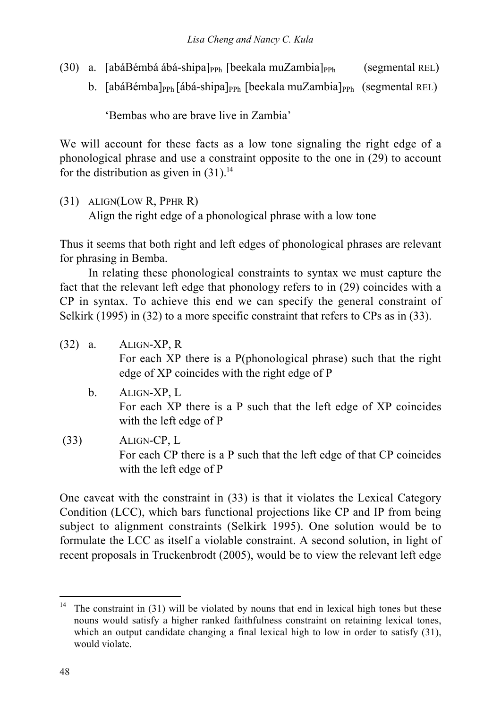- (30) a. [abáBémbá ábá-shipa]<sub>PPh</sub> [beekala muZambia]<sub>PPh</sub> (segmental REL)
	- b.  $[abáBémba]_{PPh} [ábá-shipa]_{PPh} [beekala muZambia]_{PPh} (segmental REL)$

'Bembas who are brave live in Zambia'

We will account for these facts as a low tone signaling the right edge of a phonological phrase and use a constraint opposite to the one in (29) to account for the distribution as given in  $(31)^{14}$ .

(31) ALIGN(LOW R, PPHR R)

Align the right edge of a phonological phrase with a low tone

Thus it seems that both right and left edges of phonological phrases are relevant for phrasing in Bemba.

In relating these phonological constraints to syntax we must capture the fact that the relevant left edge that phonology refers to in (29) coincides with a CP in syntax. To achieve this end we can specify the general constraint of Selkirk (1995) in (32) to a more specific constraint that refers to CPs as in (33).

| $(32)$ a. |    | ALIGN-XP, R<br>For each XP there is a P(phonological phrase) such that the right<br>edge of XP coincides with the right edge of P |
|-----------|----|-----------------------------------------------------------------------------------------------------------------------------------|
|           | b. | ALIGN-XP, L<br>For each XP there is a P such that the left edge of XP coincides<br>with the left edge of P                        |
| (33)      |    | ALIGN-CP, L<br>For each CP there is a P such that the left edge of that CP coincides<br>with the left edge of P                   |

One caveat with the constraint in (33) is that it violates the Lexical Category Condition (LCC), which bars functional projections like CP and IP from being subject to alignment constraints (Selkirk 1995). One solution would be to formulate the LCC as itself a violable constraint. A second solution, in light of recent proposals in Truckenbrodt (2005), would be to view the relevant left edge

<sup>&</sup>lt;sup>14</sup> The constraint in (31) will be violated by nouns that end in lexical high tones but these nouns would satisfy a higher ranked faithfulness constraint on retaining lexical tones, which an output candidate changing a final lexical high to low in order to satisfy (31), would violate.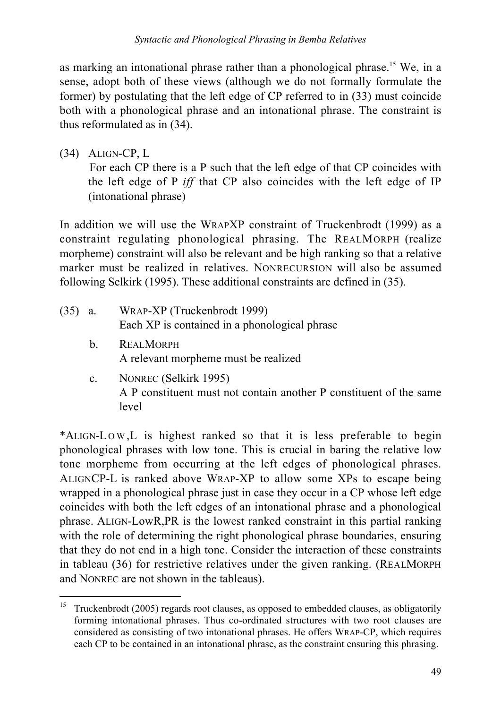as marking an intonational phrase rather than a phonological phrase.<sup>15</sup> We, in a sense, adopt both of these views (although we do not formally formulate the former) by postulating that the left edge of CP referred to in (33) must coincide both with a phonological phrase and an intonational phrase. The constraint is thus reformulated as in (34).

(34) ALIGN-CP, L

For each CP there is a P such that the left edge of that CP coincides with the left edge of P *iff* that CP also coincides with the left edge of IP (intonational phrase)

In addition we will use the WRAPXP constraint of Truckenbrodt (1999) as a constraint regulating phonological phrasing. The REALMORPH (realize morpheme) constraint will also be relevant and be high ranking so that a relative marker must be realized in relatives. NONRECURSION will also be assumed following Selkirk (1995). These additional constraints are defined in (35).

- (35) a. WRAP-XP (Truckenbrodt 1999) Each XP is contained in a phonological phrase
	- b. REALMORPH A relevant morpheme must be realized
	- c. NONREC (Selkirk 1995) A P constituent must not contain another P constituent of the same level

\*ALIGN-LOW, L is highest ranked so that it is less preferable to begin phonological phrases with low tone. This is crucial in baring the relative low tone morpheme from occurring at the left edges of phonological phrases. ALIGNCP-L is ranked above WRAP-XP to allow some XPs to escape being wrapped in a phonological phrase just in case they occur in a CP whose left edge coincides with both the left edges of an intonational phrase and a phonological phrase. ALIGN-LowR,PR is the lowest ranked constraint in this partial ranking with the role of determining the right phonological phrase boundaries, ensuring that they do not end in a high tone. Consider the interaction of these constraints in tableau (36) for restrictive relatives under the given ranking. (REALMORPH and NONREC are not shown in the tableaus).

<sup>&</sup>lt;sup>15</sup> Truckenbrodt (2005) regards root clauses, as opposed to embedded clauses, as obligatorily forming intonational phrases. Thus co-ordinated structures with two root clauses are considered as consisting of two intonational phrases. He offers WRAP-CP, which requires each CP to be contained in an intonational phrase, as the constraint ensuring this phrasing.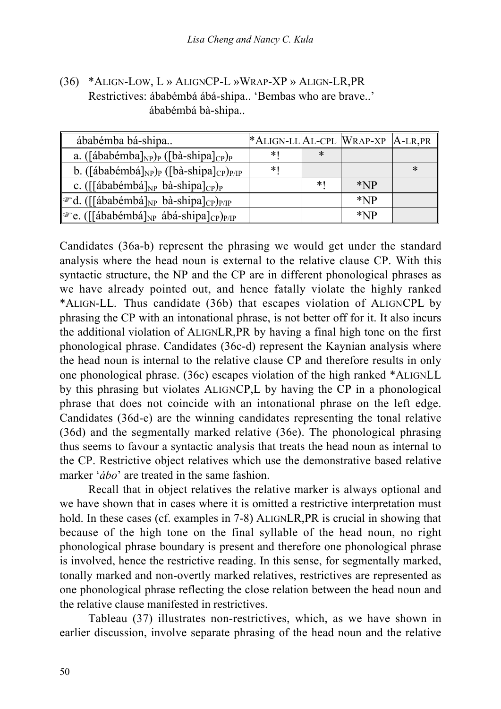(36) \*ALIGN-LOW, L » ALIGNCP-L »WRAP-XP » ALIGN-LR,PR Restrictives: ábabémbá ábá-shipa.. 'Bembas who are brave..' ábabémbá bà-shipa..

| ábabémba bá-shipa                                                                                 | *ALIGN-LL AL-CPL WRAP-XP A-LR, PR |      |       |   |
|---------------------------------------------------------------------------------------------------|-----------------------------------|------|-------|---|
| a. ([ábabémba] <sub>NP</sub> ) <sub>P</sub> ([bà-shipa] <sub>CP</sub> ) <sub>P</sub>              | ∗                                 | ∗    |       |   |
| b. ([ábabémbá] <sub>NP</sub> ) <sub>P</sub> ([bà-shipa] <sub>CP</sub> ) <sub>P/IP</sub>           | $\ast$                            |      |       | ∗ |
| c. ( $\left[\left[\text{ábabémbá}\right]_{NP}\text{ bà-shipa}\right]_{CP}\right)_{P}$             |                                   | $*1$ | $*NP$ |   |
| ☞d. ([[ábabémbá] <sub>NP</sub> bà-shipa] <sub>CP</sub> ) <sub>P/IP</sub>                          |                                   |      | $*NP$ |   |
| $\llbracket \mathcal{F}$ e. ([[ábabémbá] <sub>NP</sub> ábá-shipa] <sub>CP</sub> ) <sub>P/IP</sub> |                                   |      | $*NP$ |   |

Candidates (36a-b) represent the phrasing we would get under the standard analysis where the head noun is external to the relative clause CP. With this syntactic structure, the NP and the CP are in different phonological phrases as we have already pointed out, and hence fatally violate the highly ranked \*ALIGN-LL. Thus candidate (36b) that escapes violation of ALIGNCPL by phrasing the CP with an intonational phrase, is not better off for it. It also incurs the additional violation of ALIGNLR,PR by having a final high tone on the first phonological phrase. Candidates (36c-d) represent the Kaynian analysis where the head noun is internal to the relative clause CP and therefore results in only one phonological phrase. (36c) escapes violation of the high ranked \*ALIGNLL by this phrasing but violates ALIGNCP,L by having the CP in a phonological phrase that does not coincide with an intonational phrase on the left edge. Candidates (36d-e) are the winning candidates representing the tonal relative (36d) and the segmentally marked relative (36e). The phonological phrasing thus seems to favour a syntactic analysis that treats the head noun as internal to the CP. Restrictive object relatives which use the demonstrative based relative marker '*ábo*' are treated in the same fashion.

Recall that in object relatives the relative marker is always optional and we have shown that in cases where it is omitted a restrictive interpretation must hold. In these cases (cf. examples in 7-8) ALIGNLR,PR is crucial in showing that because of the high tone on the final syllable of the head noun, no right phonological phrase boundary is present and therefore one phonological phrase is involved, hence the restrictive reading. In this sense, for segmentally marked, tonally marked and non-overtly marked relatives, restrictives are represented as one phonological phrase reflecting the close relation between the head noun and the relative clause manifested in restrictives.

Tableau (37) illustrates non-restrictives, which, as we have shown in earlier discussion, involve separate phrasing of the head noun and the relative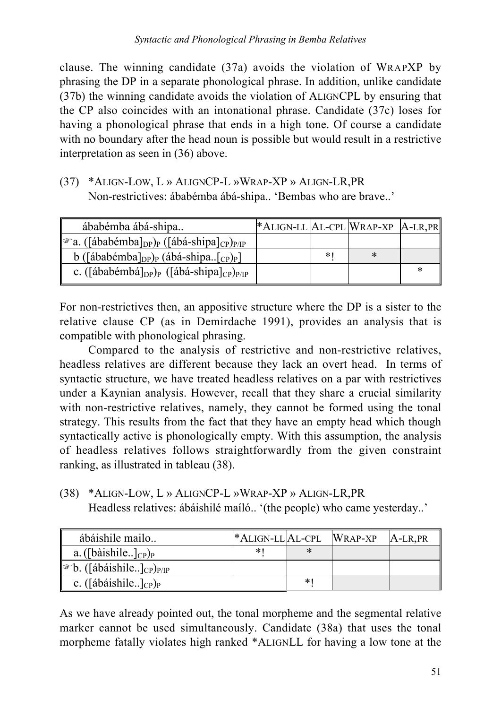clause. The winning candidate (37a) avoids the violation of WRAPXP by phrasing the DP in a separate phonological phrase. In addition, unlike candidate (37b) the winning candidate avoids the violation of ALIGNCPL by ensuring that the CP also coincides with an intonational phrase. Candidate (37c) loses for having a phonological phrase that ends in a high tone. Of course a candidate with no boundary after the head noun is possible but would result in a restrictive interpretation as seen in (36) above.

(37) \*ALIGN-LOW, L » ALIGNCP-L »WRAP-XP » ALIGN-LR,PR Non-restrictives: ábabémba ábá-shipa.. 'Bembas who are brave..'

| ábabémba ábá-shipa                                                                         | *ALIGN-LL AL-CPL WRAP-XP   A-LR, PR |    |   |  |
|--------------------------------------------------------------------------------------------|-------------------------------------|----|---|--|
| ☞ a. ([ábabémba] <sub>DP</sub> ) <sub>P</sub> ([ábá-shipa] <sub>CP</sub> ) <sub>P/IP</sub> |                                     |    |   |  |
| b ([ábabémba] <sub>DP</sub> ) <sub>P</sub> (ábá-shipa[ <sub>CP</sub> ) <sub>P</sub> ]      |                                     | *∣ | ∗ |  |
| c. ([ábabémbá] <sub>DP</sub> ) <sub>P</sub> ([ábá-shipa] <sub>CP</sub> ) <sub>P/IP</sub>   |                                     |    |   |  |

For non-restrictives then, an appositive structure where the DP is a sister to the relative clause CP (as in Demirdache 1991), provides an analysis that is compatible with phonological phrasing.

Compared to the analysis of restrictive and non-restrictive relatives, headless relatives are different because they lack an overt head. In terms of syntactic structure, we have treated headless relatives on a par with restrictives under a Kaynian analysis. However, recall that they share a crucial similarity with non-restrictive relatives, namely, they cannot be formed using the tonal strategy. This results from the fact that they have an empty head which though syntactically active is phonologically empty. With this assumption, the analysis of headless relatives follows straightforwardly from the given constraint ranking, as illustrated in tableau (38).

(38) \*ALIGN-LOW, L » ALIGNCP-L »WRAP-XP » ALIGN-LR,PR Headless relatives: ábáishilé maíló.. '(the people) who came yesterday..'

| ábáishile mailo                                                                    | *ALIGN-LL AL-CPL WRAP-XP |    | A-LR, PR |
|------------------------------------------------------------------------------------|--------------------------|----|----------|
| a. ([bàishile] $_{CP}$ ]                                                           |                          |    |          |
| $\llbracket \mathcal{F} \mathbf{b}$ . ([ábáishile] <sub>CP</sub> ) <sub>P/IP</sub> |                          |    |          |
| c. ([ábáishile] <sub>CP</sub> ) <sub>P</sub>                                       |                          | ∗' |          |

As we have already pointed out, the tonal morpheme and the segmental relative marker cannot be used simultaneously. Candidate (38a) that uses the tonal morpheme fatally violates high ranked \*ALIGNLL for having a low tone at the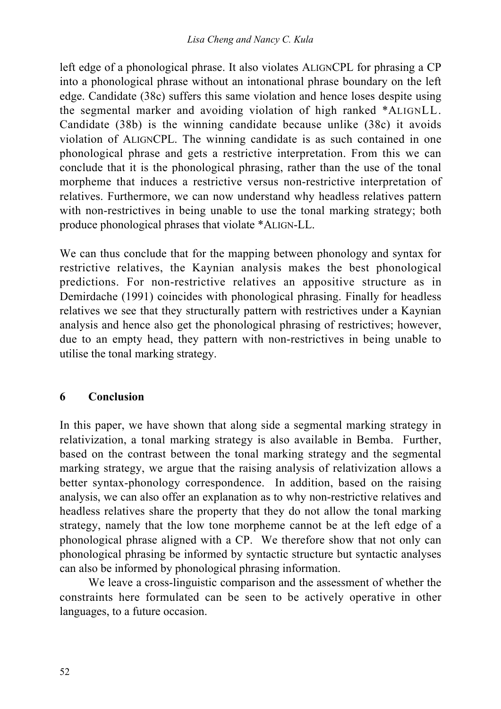left edge of a phonological phrase. It also violates ALIGNCPL for phrasing a CP into a phonological phrase without an intonational phrase boundary on the left edge. Candidate (38c) suffers this same violation and hence loses despite using the segmental marker and avoiding violation of high ranked \*ALIGNLL. Candidate (38b) is the winning candidate because unlike (38c) it avoids violation of ALIGNCPL. The winning candidate is as such contained in one phonological phrase and gets a restrictive interpretation. From this we can conclude that it is the phonological phrasing, rather than the use of the tonal morpheme that induces a restrictive versus non-restrictive interpretation of relatives. Furthermore, we can now understand why headless relatives pattern with non-restrictives in being unable to use the tonal marking strategy; both produce phonological phrases that violate \*ALIGN-LL.

We can thus conclude that for the mapping between phonology and syntax for restrictive relatives, the Kaynian analysis makes the best phonological predictions. For non-restrictive relatives an appositive structure as in Demirdache (1991) coincides with phonological phrasing. Finally for headless relatives we see that they structurally pattern with restrictives under a Kaynian analysis and hence also get the phonological phrasing of restrictives; however, due to an empty head, they pattern with non-restrictives in being unable to utilise the tonal marking strategy.

### **6 Conclusion**

In this paper, we have shown that along side a segmental marking strategy in relativization, a tonal marking strategy is also available in Bemba. Further, based on the contrast between the tonal marking strategy and the segmental marking strategy, we argue that the raising analysis of relativization allows a better syntax-phonology correspondence. In addition, based on the raising analysis, we can also offer an explanation as to why non-restrictive relatives and headless relatives share the property that they do not allow the tonal marking strategy, namely that the low tone morpheme cannot be at the left edge of a phonological phrase aligned with a CP. We therefore show that not only can phonological phrasing be informed by syntactic structure but syntactic analyses can also be informed by phonological phrasing information.

We leave a cross-linguistic comparison and the assessment of whether the constraints here formulated can be seen to be actively operative in other languages, to a future occasion.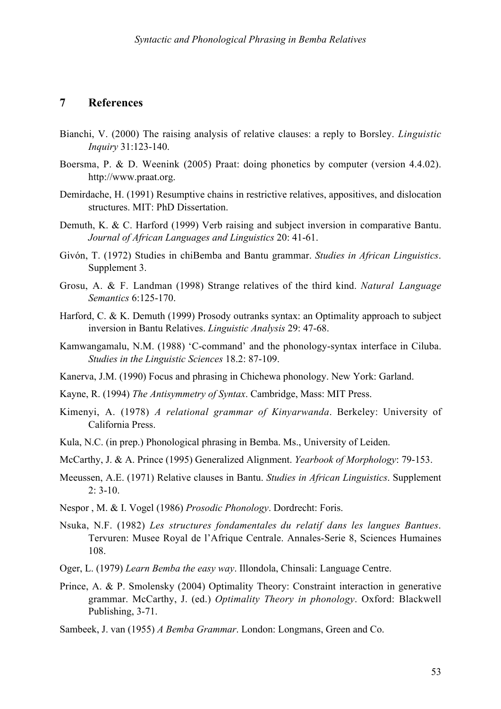#### **7 References**

- Bianchi, V. (2000) The raising analysis of relative clauses: a reply to Borsley. *Linguistic Inquiry* 31:123-140.
- Boersma, P. & D. Weenink (2005) Praat: doing phonetics by computer (version 4.4.02). http://www.praat.org.
- Demirdache, H. (1991) Resumptive chains in restrictive relatives, appositives, and dislocation structures. MIT: PhD Dissertation.
- Demuth, K. & C. Harford (1999) Verb raising and subject inversion in comparative Bantu. *Journal of African Languages and Linguistics* 20: 41-61.
- Givón, T. (1972) Studies in chiBemba and Bantu grammar. *Studies in African Linguistics*. Supplement 3.
- Grosu, A. & F. Landman (1998) Strange relatives of the third kind. *Natural Language Semantics* 6:125-170.
- Harford, C. & K. Demuth (1999) Prosody outranks syntax: an Optimality approach to subject inversion in Bantu Relatives. *Linguistic Analysis* 29: 47-68.
- Kamwangamalu, N.M. (1988) 'C-command' and the phonology-syntax interface in Ciluba. *Studies in the Linguistic Sciences* 18.2: 87-109.
- Kanerva, J.M. (1990) Focus and phrasing in Chichewa phonology. New York: Garland.
- Kayne, R. (1994) *The Antisymmetry of Syntax*. Cambridge, Mass: MIT Press.
- Kimenyi, A. (1978) *A relational grammar of Kinyarwanda*. Berkeley: University of California Press.
- Kula, N.C. (in prep.) Phonological phrasing in Bemba. Ms., University of Leiden.
- McCarthy, J. & A. Prince (1995) Generalized Alignment. *Yearbook of Morphology*: 79-153.
- Meeussen, A.E. (1971) Relative clauses in Bantu. *Studies in African Linguistics*. Supplement 2: 3-10.
- Nespor , M. & I. Vogel (1986) *Prosodic Phonology*. Dordrecht: Foris.
- Nsuka, N.F. (1982) *Les structures fondamentales du relatif dans les langues Bantues*. Tervuren: Musee Royal de l'Afrique Centrale. Annales-Serie 8, Sciences Humaines 108.
- Oger, L. (1979) *Learn Bemba the easy way*. Illondola, Chinsali: Language Centre.
- Prince, A. & P. Smolensky (2004) Optimality Theory: Constraint interaction in generative grammar. McCarthy, J. (ed.) *Optimality Theory in phonology*. Oxford: Blackwell Publishing, 3-71.
- Sambeek, J. van (1955) *A Bemba Grammar*. London: Longmans, Green and Co.